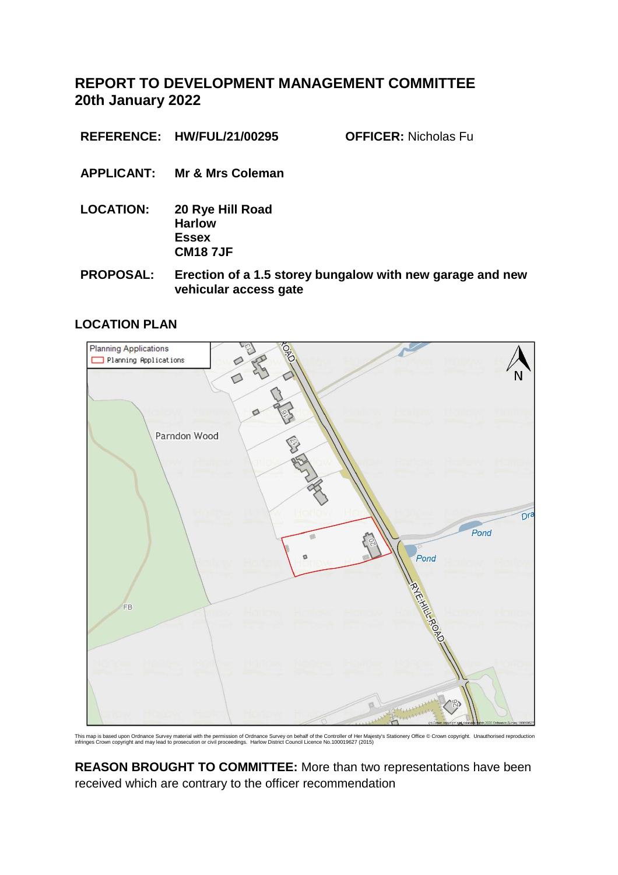**REPORT TO DEVELOPMENT MANAGEMENT COMMITTEE 20th January 2022**

**REFERENCE: HW/FUL/21/00295 OFFICER:** Nicholas Fu

- **APPLICANT: Mr & Mrs Coleman**
- **LOCATION: 20 Rye Hill Road Harlow Essex CM18 7JF**
- **PROPOSAL: Erection of a 1.5 storey bungalow with new garage and new vehicular access gate**

## **LOCATION PLAN**



This map is based upon Ordnance Survey material with the permission of Ordnance Survey on behalf of the Controller of Her Majesty's Stationery Office © Crown copyright. Unauthorised reproduction<br>infringes Crown copyright

**REASON BROUGHT TO COMMITTEE:** More than two representations have been received which are contrary to the officer recommendation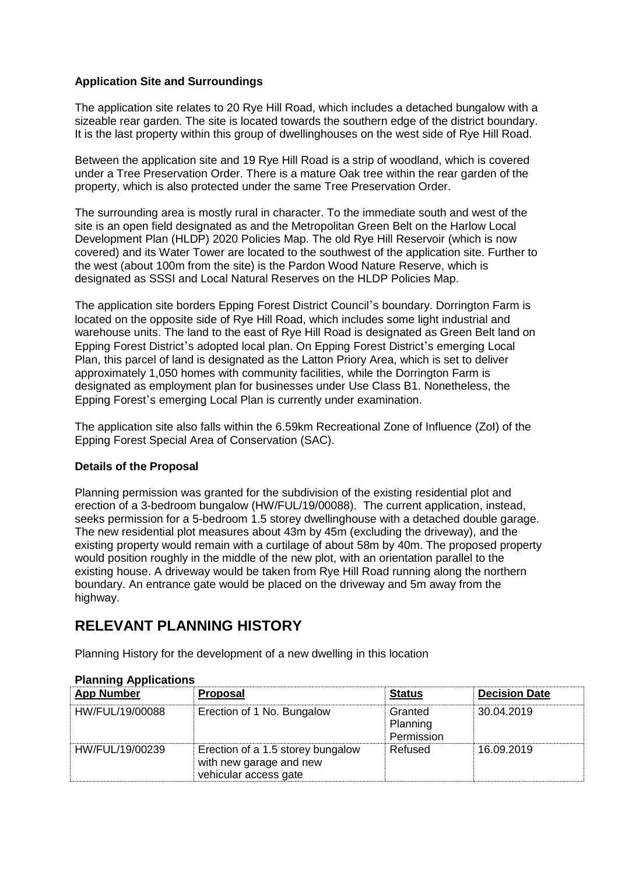## **Application Site and Surroundings**

The application site relates to 20 Rye Hill Road, which includes a detached bungalow with a sizeable rear garden. The site is located towards the southern edge of the district boundary. It is the last property within this group of dwellinghouses on the west side of Rye Hill Road.

Between the application site and 19 Rye Hill Road is a strip of woodland, which is covered under a Tree Preservation Order. There is a mature Oak tree within the rear garden of the property, which is also protected under the same Tree Preservation Order.

The surrounding area is mostly rural in character. To the immediate south and west of the site is an open field designated as and the Metropolitan Green Belt on the Harlow Local Development Plan (HLDP) 2020 Policies Map. The old Rye Hill Reservoir (which is now covered) and its Water Tower are located to the southwest of the application site. Further to the west (about 100m from the site) is the Pardon Wood Nature Reserve, which is designated as SSSI and Local Natural Reserves on the HLDP Policies Map.

The application site borders Epping Forest District Council's boundary. Dorrington Farm is located on the opposite side of Rye Hill Road, which includes some light industrial and warehouse units. The land to the east of Rye Hill Road is designated as Green Belt land on Epping Forest District's adopted local plan. On Epping Forest District's emerging Local Plan, this parcel of land is designated as the Latton Priory Area, which is set to deliver approximately 1,050 homes with community facilities, while the Dorrington Farm is designated as employment plan for businesses under Use Class B1. Nonetheless, the Epping Forest's emerging Local Plan is currently under examination.

The application site also falls within the 6.59km Recreational Zone of Influence (ZoI) of the Epping Forest Special Area of Conservation (SAC).

### **Details of the Proposal**

Planning permission was granted for the subdivision of the existing residential plot and erection of a 3-bedroom bungalow (HW/FUL/19/00088). The current application, instead, seeks permission for a 5-bedroom 1.5 storey dwellinghouse with a detached double garage. The new residential plot measures about 43m by 45m (excluding the driveway), and the existing property would remain with a curtilage of about 58m by 40m. The proposed property would position roughly in the middle of the new plot, with an orientation parallel to the existing house. A driveway would be taken from Rye Hill Road running along the northern boundary. An entrance gate would be placed on the driveway and 5m away from the highway.

# **RELEVANT PLANNING HISTORY**

Planning History for the development of a new dwelling in this location

| <b>App Number</b> | <b>Proposal</b>                                                                       | <b>Status</b>                     | <b>Decision Date</b> |
|-------------------|---------------------------------------------------------------------------------------|-----------------------------------|----------------------|
| HW/FUL/19/00088   | Erection of 1 No. Bungalow                                                            | Granted<br>Planning<br>Permission | 30.04.2019           |
| HW/FUL/19/00239   | Erection of a 1.5 storey bungalow<br>with new garage and new<br>vehicular access gate | Refused                           | 16.09.2019           |

### **Planning Applications**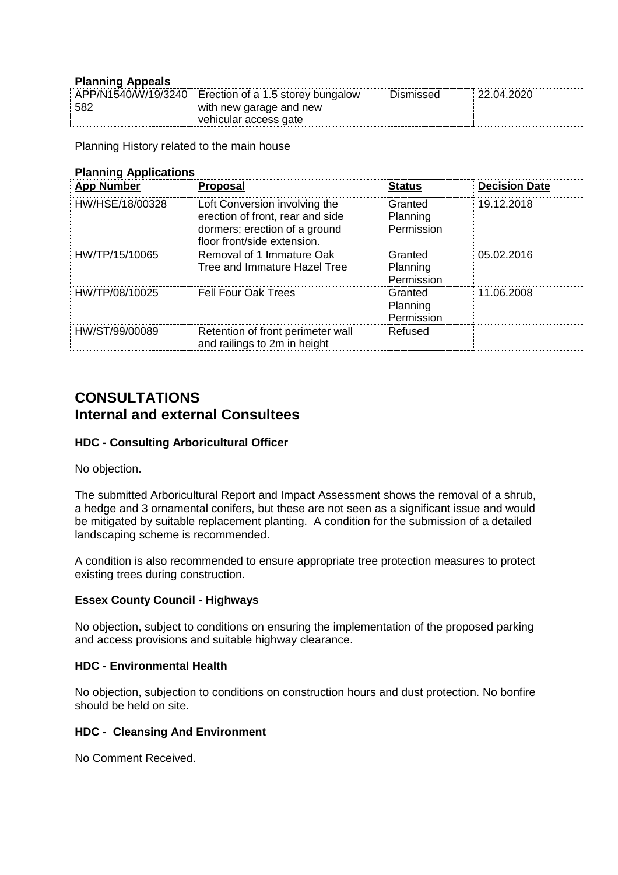### **Planning Appeals**

|     | APP/N1540/W/19/3240 Erection of a 1.5 storey bungalow | Dismissed | $^{\circ}$ 22.04.2020 |
|-----|-------------------------------------------------------|-----------|-----------------------|
| 582 | with new garage and new                               |           |                       |
|     | vehicular access gate                                 |           |                       |

Planning History related to the main house

| <b>Planning Applications</b> |                                                                                                                                   |                                   |                      |  |  |
|------------------------------|-----------------------------------------------------------------------------------------------------------------------------------|-----------------------------------|----------------------|--|--|
| <b>App Number</b>            | <b>Proposal</b>                                                                                                                   | <b>Status</b>                     | <b>Decision Date</b> |  |  |
| HW/HSE/18/00328              | Loft Conversion involving the<br>erection of front, rear and side<br>dormers; erection of a ground<br>floor front/side extension. | Granted<br>Planning<br>Permission | 19.12.2018           |  |  |
| HW/TP/15/10065               | Removal of 1 Immature Oak<br>Tree and Immature Hazel Tree                                                                         | Granted<br>Planning<br>Permission | 05.02.2016           |  |  |
| HW/TP/08/10025               | <b>Fell Four Oak Trees</b>                                                                                                        | Granted<br>Planning<br>Permission | 11.06.2008           |  |  |
| HW/ST/99/00089               | Retention of front perimeter wall<br>and railings to 2m in height                                                                 | Refused                           |                      |  |  |

# **CONSULTATIONS Internal and external Consultees**

### **HDC - Consulting Arboricultural Officer**

No objection.

The submitted Arboricultural Report and Impact Assessment shows the removal of a shrub, a hedge and 3 ornamental conifers, but these are not seen as a significant issue and would be mitigated by suitable replacement planting. A condition for the submission of a detailed landscaping scheme is recommended.

A condition is also recommended to ensure appropriate tree protection measures to protect existing trees during construction.

### **Essex County Council - Highways**

No objection, subject to conditions on ensuring the implementation of the proposed parking and access provisions and suitable highway clearance.

#### **HDC - Environmental Health**

No objection, subjection to conditions on construction hours and dust protection. No bonfire should be held on site.

#### **HDC - Cleansing And Environment**

No Comment Received.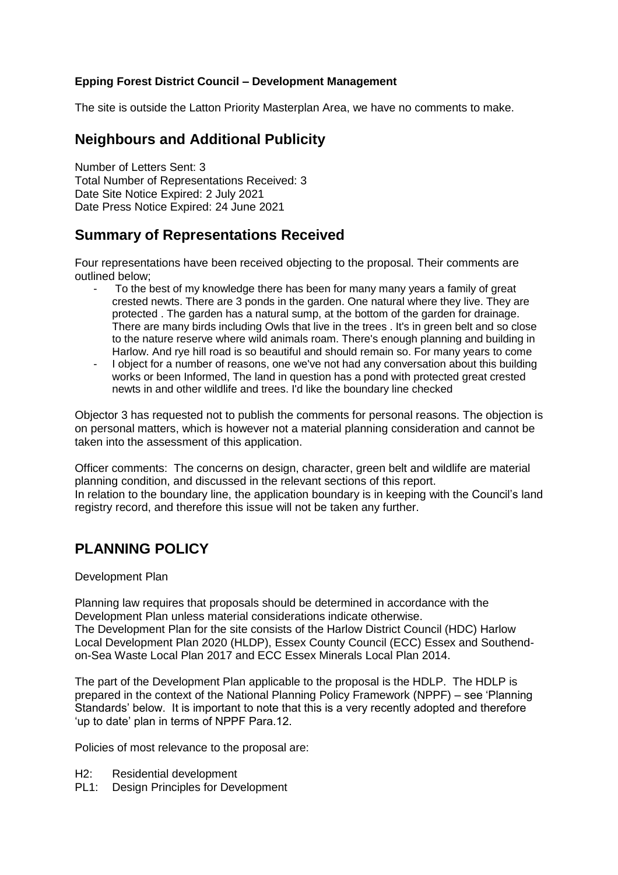## **Epping Forest District Council – Development Management**

The site is outside the Latton Priority Masterplan Area, we have no comments to make.

# **Neighbours and Additional Publicity**

Number of Letters Sent: 3 Total Number of Representations Received: 3 Date Site Notice Expired: 2 July 2021 Date Press Notice Expired: 24 June 2021

# **Summary of Representations Received**

Four representations have been received objecting to the proposal. Their comments are outlined below;

- To the best of my knowledge there has been for many many years a family of great crested newts. There are 3 ponds in the garden. One natural where they live. They are protected . The garden has a natural sump, at the bottom of the garden for drainage. There are many birds including Owls that live in the trees . It's in green belt and so close to the nature reserve where wild animals roam. There's enough planning and building in Harlow. And rye hill road is so beautiful and should remain so. For many years to come
- I object for a number of reasons, one we've not had any conversation about this building works or been Informed, The land in question has a pond with protected great crested newts in and other wildlife and trees. I'd like the boundary line checked

Objector 3 has requested not to publish the comments for personal reasons. The objection is on personal matters, which is however not a material planning consideration and cannot be taken into the assessment of this application.

Officer comments: The concerns on design, character, green belt and wildlife are material planning condition, and discussed in the relevant sections of this report. In relation to the boundary line, the application boundary is in keeping with the Council's land registry record, and therefore this issue will not be taken any further.

# **PLANNING POLICY**

### Development Plan

Planning law requires that proposals should be determined in accordance with the Development Plan unless material considerations indicate otherwise. The Development Plan for the site consists of the Harlow District Council (HDC) Harlow Local Development Plan 2020 (HLDP), Essex County Council (ECC) Essex and Southendon-Sea Waste Local Plan 2017 and ECC Essex Minerals Local Plan 2014.

The part of the Development Plan applicable to the proposal is the HDLP. The HDLP is prepared in the context of the National Planning Policy Framework (NPPF) – see 'Planning Standards' below. It is important to note that this is a very recently adopted and therefore 'up to date' plan in terms of NPPF Para.12.

Policies of most relevance to the proposal are:

- H2: Residential development
- PL1: Design Principles for Development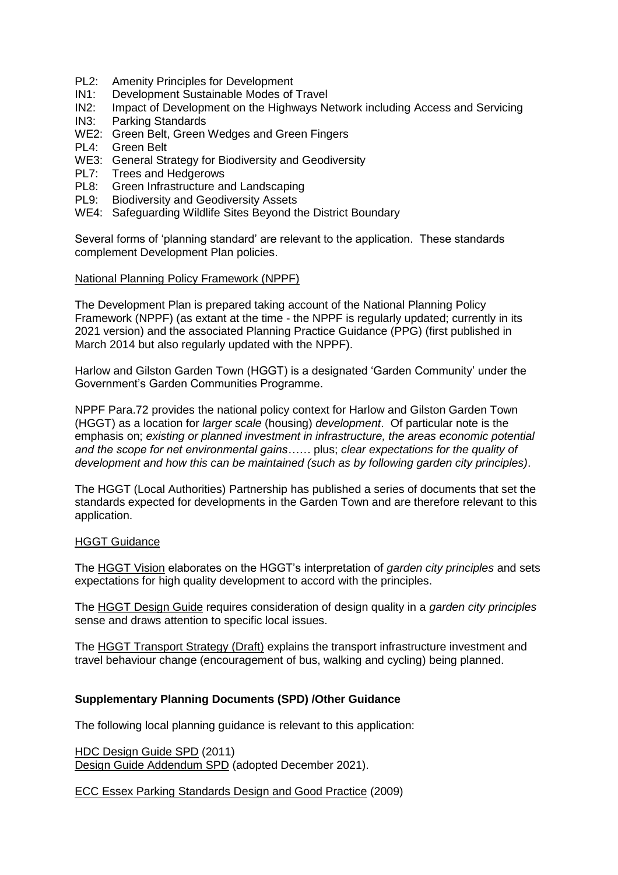- PL2: Amenity Principles for Development
- IN1: Development Sustainable Modes of Travel<br>IN2: Impact of Development on the Highways Ne
- IN2: Impact of Development on the Highways Network including Access and Servicing IN3: Parking Standards
- Parking Standards
- WE2: Green Belt, Green Wedges and Green Fingers
- PL4: Green Belt
- WE3: General Strategy for Biodiversity and Geodiversity
- PL7: Trees and Hedgerows
- PL8: Green Infrastructure and Landscaping<br>PL9: Biodiversity and Geodiversity Assets
- Biodiversity and Geodiversity Assets
- WE4: Safeguarding Wildlife Sites Beyond the District Boundary

Several forms of 'planning standard' are relevant to the application. These standards complement Development Plan policies.

#### National Planning Policy Framework (NPPF)

The Development Plan is prepared taking account of the National Planning Policy Framework (NPPF) (as extant at the time - the NPPF is regularly updated; currently in its 2021 version) and the associated Planning Practice Guidance (PPG) (first published in March 2014 but also regularly updated with the NPPF).

Harlow and Gilston Garden Town (HGGT) is a designated 'Garden Community' under the Government's Garden Communities Programme.

NPPF Para.72 provides the national policy context for Harlow and Gilston Garden Town (HGGT) as a location for *larger scale* (housing) *development*. Of particular note is the emphasis on; *existing or planned investment in infrastructure, the areas economic potential and the scope for net environmental gains……* plus; *clear expectations for the quality of development and how this can be maintained (such as by following garden city principles)*.

The HGGT (Local Authorities) Partnership has published a series of documents that set the standards expected for developments in the Garden Town and are therefore relevant to this application.

#### HGGT Guidance

The HGGT Vision elaborates on the HGGT's interpretation of *garden city principles* and sets expectations for high quality development to accord with the principles.

The HGGT Design Guide requires consideration of design quality in a *garden city principles* sense and draws attention to specific local issues.

The HGGT Transport Strategy (Draft) explains the transport infrastructure investment and travel behaviour change (encouragement of bus, walking and cycling) being planned.

### **Supplementary Planning Documents (SPD) /Other Guidance**

The following local planning guidance is relevant to this application:

HDC Design Guide SPD (2011) Design Guide Addendum SPD (adopted December 2021).

ECC Essex Parking Standards Design and Good Practice (2009)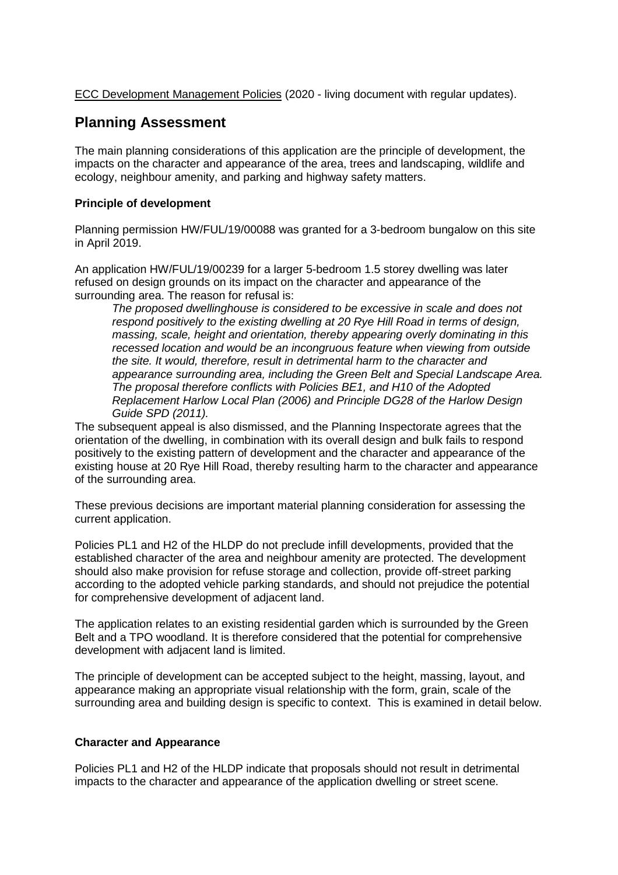ECC Development Management Policies (2020 - living document with regular updates).

## **Planning Assessment**

The main planning considerations of this application are the principle of development, the impacts on the character and appearance of the area, trees and landscaping, wildlife and ecology, neighbour amenity, and parking and highway safety matters.

### **Principle of development**

Planning permission HW/FUL/19/00088 was granted for a 3-bedroom bungalow on this site in April 2019.

An application HW/FUL/19/00239 for a larger 5-bedroom 1.5 storey dwelling was later refused on design grounds on its impact on the character and appearance of the surrounding area. The reason for refusal is:

*The proposed dwellinghouse is considered to be excessive in scale and does not respond positively to the existing dwelling at 20 Rye Hill Road in terms of design, massing, scale, height and orientation, thereby appearing overly dominating in this recessed location and would be an incongruous feature when viewing from outside the site. It would, therefore, result in detrimental harm to the character and appearance surrounding area, including the Green Belt and Special Landscape Area. The proposal therefore conflicts with Policies BE1, and H10 of the Adopted Replacement Harlow Local Plan (2006) and Principle DG28 of the Harlow Design Guide SPD (2011).*

The subsequent appeal is also dismissed, and the Planning Inspectorate agrees that the orientation of the dwelling, in combination with its overall design and bulk fails to respond positively to the existing pattern of development and the character and appearance of the existing house at 20 Rye Hill Road, thereby resulting harm to the character and appearance of the surrounding area.

These previous decisions are important material planning consideration for assessing the current application.

Policies PL1 and H2 of the HLDP do not preclude infill developments, provided that the established character of the area and neighbour amenity are protected. The development should also make provision for refuse storage and collection, provide off-street parking according to the adopted vehicle parking standards, and should not prejudice the potential for comprehensive development of adjacent land.

The application relates to an existing residential garden which is surrounded by the Green Belt and a TPO woodland. It is therefore considered that the potential for comprehensive development with adjacent land is limited.

The principle of development can be accepted subject to the height, massing, layout, and appearance making an appropriate visual relationship with the form, grain, scale of the surrounding area and building design is specific to context. This is examined in detail below.

### **Character and Appearance**

Policies PL1 and H2 of the HLDP indicate that proposals should not result in detrimental impacts to the character and appearance of the application dwelling or street scene.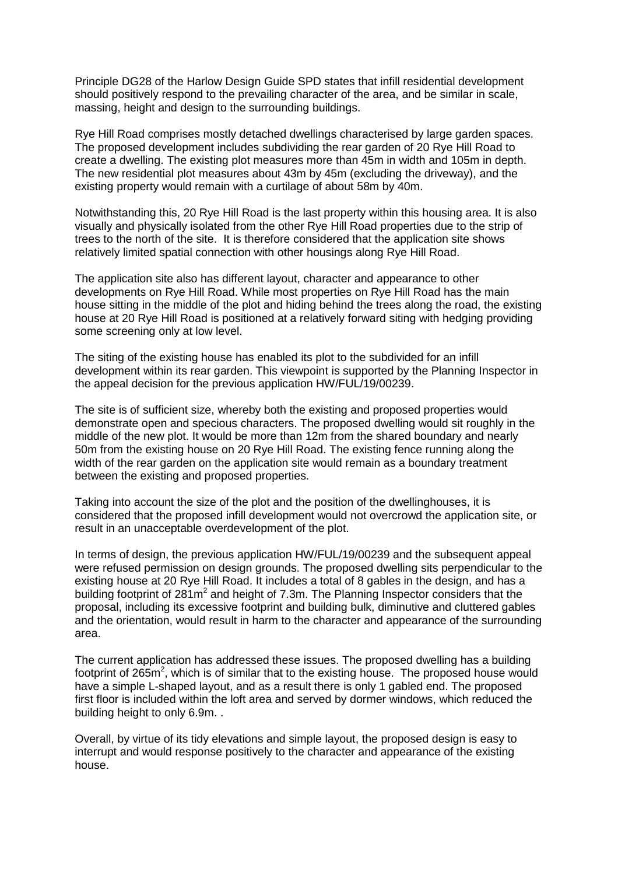Principle DG28 of the Harlow Design Guide SPD states that infill residential development should positively respond to the prevailing character of the area, and be similar in scale, massing, height and design to the surrounding buildings.

Rye Hill Road comprises mostly detached dwellings characterised by large garden spaces. The proposed development includes subdividing the rear garden of 20 Rye Hill Road to create a dwelling. The existing plot measures more than 45m in width and 105m in depth. The new residential plot measures about 43m by 45m (excluding the driveway), and the existing property would remain with a curtilage of about 58m by 40m.

Notwithstanding this, 20 Rye Hill Road is the last property within this housing area. It is also visually and physically isolated from the other Rye Hill Road properties due to the strip of trees to the north of the site. It is therefore considered that the application site shows relatively limited spatial connection with other housings along Rye Hill Road.

The application site also has different layout, character and appearance to other developments on Rye Hill Road. While most properties on Rye Hill Road has the main house sitting in the middle of the plot and hiding behind the trees along the road, the existing house at 20 Rye Hill Road is positioned at a relatively forward siting with hedging providing some screening only at low level.

The siting of the existing house has enabled its plot to the subdivided for an infill development within its rear garden. This viewpoint is supported by the Planning Inspector in the appeal decision for the previous application HW/FUL/19/00239.

The site is of sufficient size, whereby both the existing and proposed properties would demonstrate open and specious characters. The proposed dwelling would sit roughly in the middle of the new plot. It would be more than 12m from the shared boundary and nearly 50m from the existing house on 20 Rye Hill Road. The existing fence running along the width of the rear garden on the application site would remain as a boundary treatment between the existing and proposed properties.

Taking into account the size of the plot and the position of the dwellinghouses, it is considered that the proposed infill development would not overcrowd the application site, or result in an unacceptable overdevelopment of the plot.

In terms of design, the previous application HW/FUL/19/00239 and the subsequent appeal were refused permission on design grounds. The proposed dwelling sits perpendicular to the existing house at 20 Rye Hill Road. It includes a total of 8 gables in the design, and has a building footprint of 281m<sup>2</sup> and height of 7.3m. The Planning Inspector considers that the proposal, including its excessive footprint and building bulk, diminutive and cluttered gables and the orientation, would result in harm to the character and appearance of the surrounding area.

The current application has addressed these issues. The proposed dwelling has a building footprint of 265 $m^2$ , which is of similar that to the existing house. The proposed house would have a simple L-shaped layout, and as a result there is only 1 gabled end. The proposed first floor is included within the loft area and served by dormer windows, which reduced the building height to only 6.9m. .

Overall, by virtue of its tidy elevations and simple layout, the proposed design is easy to interrupt and would response positively to the character and appearance of the existing house.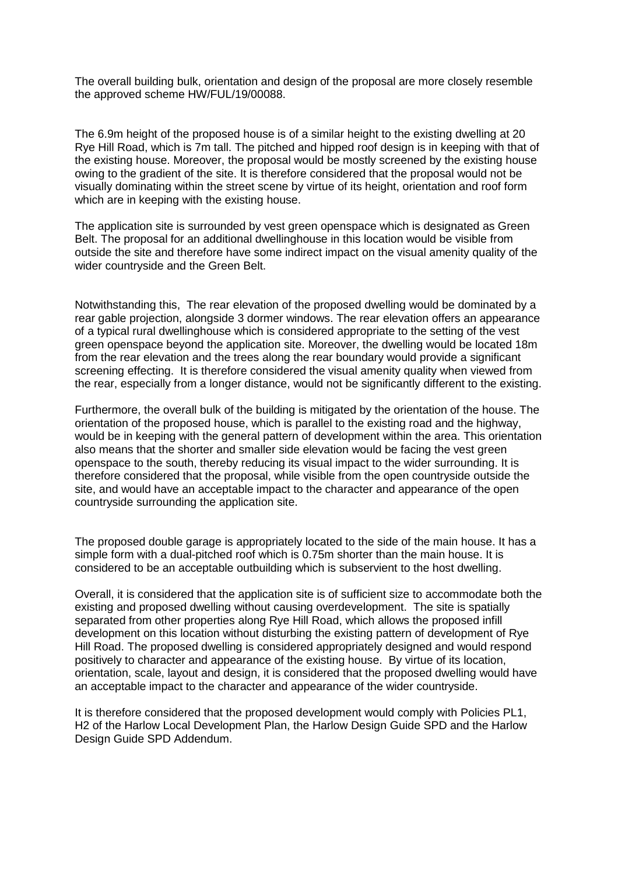The overall building bulk, orientation and design of the proposal are more closely resemble the approved scheme HW/FUL/19/00088.

The 6.9m height of the proposed house is of a similar height to the existing dwelling at 20 Rye Hill Road, which is 7m tall. The pitched and hipped roof design is in keeping with that of the existing house. Moreover, the proposal would be mostly screened by the existing house owing to the gradient of the site. It is therefore considered that the proposal would not be visually dominating within the street scene by virtue of its height, orientation and roof form which are in keeping with the existing house.

The application site is surrounded by vest green openspace which is designated as Green Belt. The proposal for an additional dwellinghouse in this location would be visible from outside the site and therefore have some indirect impact on the visual amenity quality of the wider countryside and the Green Belt.

Notwithstanding this, The rear elevation of the proposed dwelling would be dominated by a rear gable projection, alongside 3 dormer windows. The rear elevation offers an appearance of a typical rural dwellinghouse which is considered appropriate to the setting of the vest green openspace beyond the application site. Moreover, the dwelling would be located 18m from the rear elevation and the trees along the rear boundary would provide a significant screening effecting. It is therefore considered the visual amenity quality when viewed from the rear, especially from a longer distance, would not be significantly different to the existing.

Furthermore, the overall bulk of the building is mitigated by the orientation of the house. The orientation of the proposed house, which is parallel to the existing road and the highway, would be in keeping with the general pattern of development within the area. This orientation also means that the shorter and smaller side elevation would be facing the vest green openspace to the south, thereby reducing its visual impact to the wider surrounding. It is therefore considered that the proposal, while visible from the open countryside outside the site, and would have an acceptable impact to the character and appearance of the open countryside surrounding the application site.

The proposed double garage is appropriately located to the side of the main house. It has a simple form with a dual-pitched roof which is 0.75m shorter than the main house. It is considered to be an acceptable outbuilding which is subservient to the host dwelling.

Overall, it is considered that the application site is of sufficient size to accommodate both the existing and proposed dwelling without causing overdevelopment. The site is spatially separated from other properties along Rye Hill Road, which allows the proposed infill development on this location without disturbing the existing pattern of development of Rye Hill Road. The proposed dwelling is considered appropriately designed and would respond positively to character and appearance of the existing house. By virtue of its location, orientation, scale, layout and design, it is considered that the proposed dwelling would have an acceptable impact to the character and appearance of the wider countryside.

It is therefore considered that the proposed development would comply with Policies PL1, H2 of the Harlow Local Development Plan, the Harlow Design Guide SPD and the Harlow Design Guide SPD Addendum.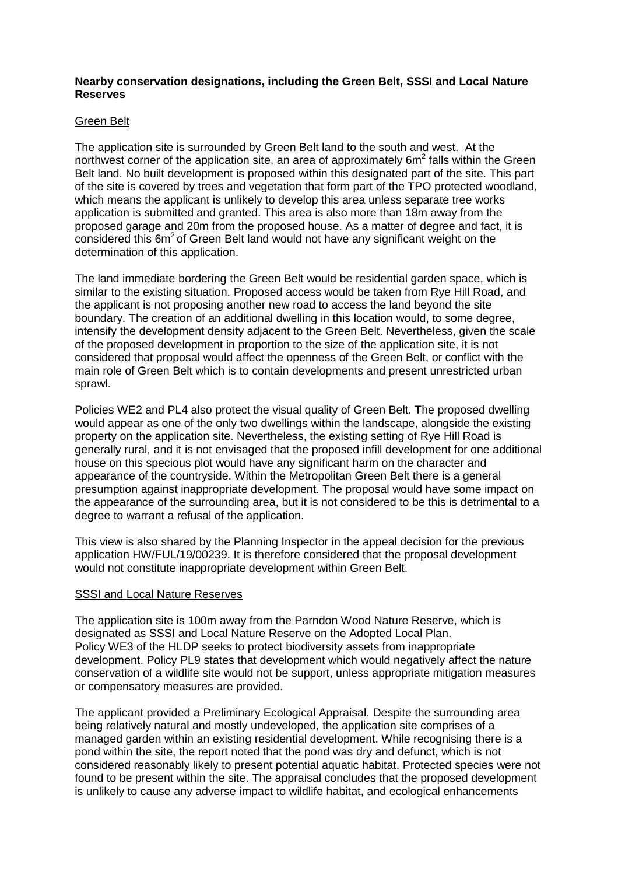#### **Nearby conservation designations, including the Green Belt, SSSI and Local Nature Reserves**

#### Green Belt

The application site is surrounded by Green Belt land to the south and west. At the northwest corner of the application site, an area of approximately 6m<sup>2</sup> falls within the Green Belt land. No built development is proposed within this designated part of the site. This part of the site is covered by trees and vegetation that form part of the TPO protected woodland, which means the applicant is unlikely to develop this area unless separate tree works application is submitted and granted. This area is also more than 18m away from the proposed garage and 20m from the proposed house. As a matter of degree and fact, it is considered this 6m<sup>2</sup> of Green Belt land would not have any significant weight on the determination of this application.

The land immediate bordering the Green Belt would be residential garden space, which is similar to the existing situation. Proposed access would be taken from Rye Hill Road, and the applicant is not proposing another new road to access the land beyond the site boundary. The creation of an additional dwelling in this location would, to some degree, intensify the development density adjacent to the Green Belt. Nevertheless, given the scale of the proposed development in proportion to the size of the application site, it is not considered that proposal would affect the openness of the Green Belt, or conflict with the main role of Green Belt which is to contain developments and present unrestricted urban sprawl.

Policies WE2 and PL4 also protect the visual quality of Green Belt. The proposed dwelling would appear as one of the only two dwellings within the landscape, alongside the existing property on the application site. Nevertheless, the existing setting of Rye Hill Road is generally rural, and it is not envisaged that the proposed infill development for one additional house on this specious plot would have any significant harm on the character and appearance of the countryside. Within the Metropolitan Green Belt there is a general presumption against inappropriate development. The proposal would have some impact on the appearance of the surrounding area, but it is not considered to be this is detrimental to a degree to warrant a refusal of the application.

This view is also shared by the Planning Inspector in the appeal decision for the previous application HW/FUL/19/00239. It is therefore considered that the proposal development would not constitute inappropriate development within Green Belt.

#### SSSI and Local Nature Reserves

The application site is 100m away from the Parndon Wood Nature Reserve, which is designated as SSSI and Local Nature Reserve on the Adopted Local Plan. Policy WE3 of the HLDP seeks to protect biodiversity assets from inappropriate development. Policy PL9 states that development which would negatively affect the nature conservation of a wildlife site would not be support, unless appropriate mitigation measures or compensatory measures are provided.

The applicant provided a Preliminary Ecological Appraisal. Despite the surrounding area being relatively natural and mostly undeveloped, the application site comprises of a managed garden within an existing residential development. While recognising there is a pond within the site, the report noted that the pond was dry and defunct, which is not considered reasonably likely to present potential aquatic habitat. Protected species were not found to be present within the site. The appraisal concludes that the proposed development is unlikely to cause any adverse impact to wildlife habitat, and ecological enhancements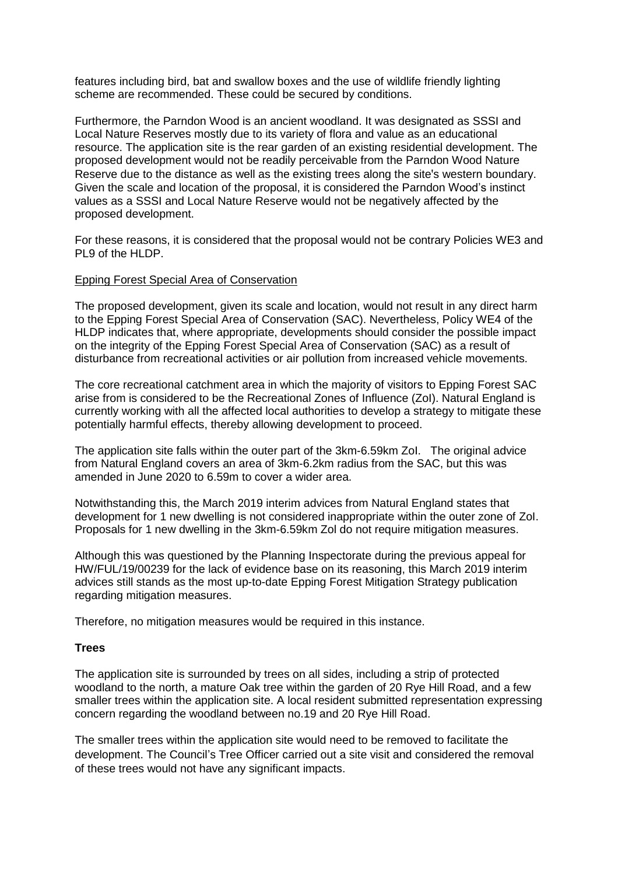features including bird, bat and swallow boxes and the use of wildlife friendly lighting scheme are recommended. These could be secured by conditions.

Furthermore, the Parndon Wood is an ancient woodland. It was designated as SSSI and Local Nature Reserves mostly due to its variety of flora and value as an educational resource. The application site is the rear garden of an existing residential development. The proposed development would not be readily perceivable from the Parndon Wood Nature Reserve due to the distance as well as the existing trees along the site's western boundary. Given the scale and location of the proposal, it is considered the Parndon Wood's instinct values as a SSSI and Local Nature Reserve would not be negatively affected by the proposed development.

For these reasons, it is considered that the proposal would not be contrary Policies WE3 and PL9 of the HLDP.

#### Epping Forest Special Area of Conservation

The proposed development, given its scale and location, would not result in any direct harm to the Epping Forest Special Area of Conservation (SAC). Nevertheless, Policy WE4 of the HLDP indicates that, where appropriate, developments should consider the possible impact on the integrity of the Epping Forest Special Area of Conservation (SAC) as a result of disturbance from recreational activities or air pollution from increased vehicle movements.

The core recreational catchment area in which the majority of visitors to Epping Forest SAC arise from is considered to be the Recreational Zones of Influence (ZoI). Natural England is currently working with all the affected local authorities to develop a strategy to mitigate these potentially harmful effects, thereby allowing development to proceed.

The application site falls within the outer part of the 3km-6.59km ZoI. The original advice from Natural England covers an area of 3km-6.2km radius from the SAC, but this was amended in June 2020 to 6.59m to cover a wider area.

Notwithstanding this, the March 2019 interim advices from Natural England states that development for 1 new dwelling is not considered inappropriate within the outer zone of ZoI. Proposals for 1 new dwelling in the 3km-6.59km Zol do not require mitigation measures.

Although this was questioned by the Planning Inspectorate during the previous appeal for HW/FUL/19/00239 for the lack of evidence base on its reasoning, this March 2019 interim advices still stands as the most up-to-date Epping Forest Mitigation Strategy publication regarding mitigation measures.

Therefore, no mitigation measures would be required in this instance.

#### **Trees**

The application site is surrounded by trees on all sides, including a strip of protected woodland to the north, a mature Oak tree within the garden of 20 Rye Hill Road, and a few smaller trees within the application site. A local resident submitted representation expressing concern regarding the woodland between no.19 and 20 Rye Hill Road.

The smaller trees within the application site would need to be removed to facilitate the development. The Council's Tree Officer carried out a site visit and considered the removal of these trees would not have any significant impacts.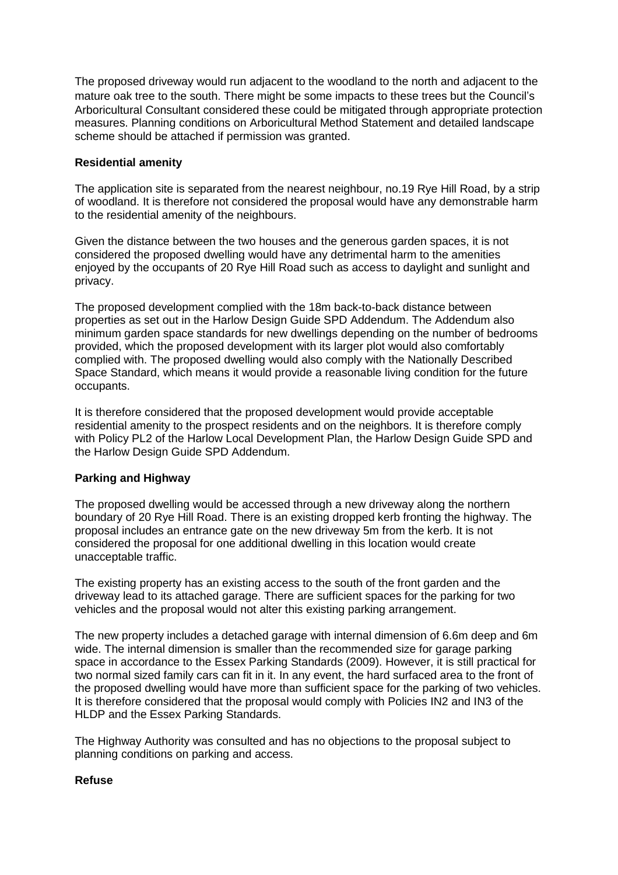The proposed driveway would run adjacent to the woodland to the north and adjacent to the mature oak tree to the south. There might be some impacts to these trees but the Council's Arboricultural Consultant considered these could be mitigated through appropriate protection measures. Planning conditions on Arboricultural Method Statement and detailed landscape scheme should be attached if permission was granted.

### **Residential amenity**

The application site is separated from the nearest neighbour, no.19 Rye Hill Road, by a strip of woodland. It is therefore not considered the proposal would have any demonstrable harm to the residential amenity of the neighbours.

Given the distance between the two houses and the generous garden spaces, it is not considered the proposed dwelling would have any detrimental harm to the amenities enjoyed by the occupants of 20 Rye Hill Road such as access to daylight and sunlight and privacy.

The proposed development complied with the 18m back-to-back distance between properties as set out in the Harlow Design Guide SPD Addendum. The Addendum also minimum garden space standards for new dwellings depending on the number of bedrooms provided, which the proposed development with its larger plot would also comfortably complied with. The proposed dwelling would also comply with the Nationally Described Space Standard, which means it would provide a reasonable living condition for the future occupants.

It is therefore considered that the proposed development would provide acceptable residential amenity to the prospect residents and on the neighbors. It is therefore comply with Policy PL2 of the Harlow Local Development Plan, the Harlow Design Guide SPD and the Harlow Design Guide SPD Addendum.

## **Parking and Highway**

The proposed dwelling would be accessed through a new driveway along the northern boundary of 20 Rye Hill Road. There is an existing dropped kerb fronting the highway. The proposal includes an entrance gate on the new driveway 5m from the kerb. It is not considered the proposal for one additional dwelling in this location would create unacceptable traffic.

The existing property has an existing access to the south of the front garden and the driveway lead to its attached garage. There are sufficient spaces for the parking for two vehicles and the proposal would not alter this existing parking arrangement.

The new property includes a detached garage with internal dimension of 6.6m deep and 6m wide. The internal dimension is smaller than the recommended size for garage parking space in accordance to the Essex Parking Standards (2009). However, it is still practical for two normal sized family cars can fit in it. In any event, the hard surfaced area to the front of the proposed dwelling would have more than sufficient space for the parking of two vehicles. It is therefore considered that the proposal would comply with Policies IN2 and IN3 of the HLDP and the Essex Parking Standards.

The Highway Authority was consulted and has no objections to the proposal subject to planning conditions on parking and access.

### **Refuse**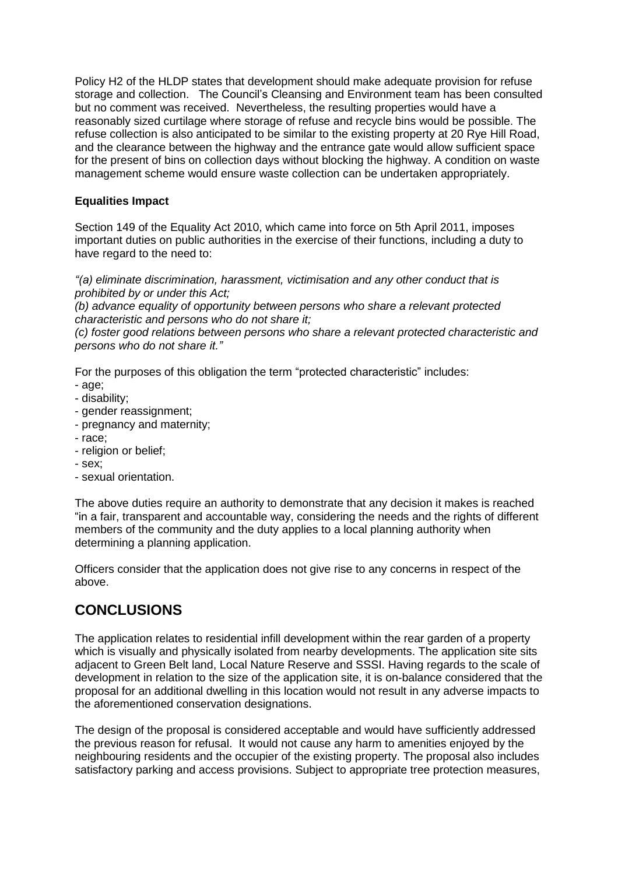Policy H2 of the HLDP states that development should make adequate provision for refuse storage and collection. The Council's Cleansing and Environment team has been consulted but no comment was received. Nevertheless, the resulting properties would have a reasonably sized curtilage where storage of refuse and recycle bins would be possible. The refuse collection is also anticipated to be similar to the existing property at 20 Rye Hill Road, and the clearance between the highway and the entrance gate would allow sufficient space for the present of bins on collection days without blocking the highway. A condition on waste management scheme would ensure waste collection can be undertaken appropriately.

## **Equalities Impact**

Section 149 of the Equality Act 2010, which came into force on 5th April 2011, imposes important duties on public authorities in the exercise of their functions, including a duty to have regard to the need to:

*"(a) eliminate discrimination, harassment, victimisation and any other conduct that is prohibited by or under this Act;*

*(b) advance equality of opportunity between persons who share a relevant protected characteristic and persons who do not share it;*

*(c) foster good relations between persons who share a relevant protected characteristic and persons who do not share it."*

For the purposes of this obligation the term "protected characteristic" includes:

- age;
- disability;
- gender reassignment;
- pregnancy and maternity;
- race;
- religion or belief;
- sex;
- sexual orientation.

The above duties require an authority to demonstrate that any decision it makes is reached "in a fair, transparent and accountable way, considering the needs and the rights of different members of the community and the duty applies to a local planning authority when determining a planning application.

Officers consider that the application does not give rise to any concerns in respect of the above.

# **CONCLUSIONS**

The application relates to residential infill development within the rear garden of a property which is visually and physically isolated from nearby developments. The application site sits adjacent to Green Belt land, Local Nature Reserve and SSSI. Having regards to the scale of development in relation to the size of the application site, it is on-balance considered that the proposal for an additional dwelling in this location would not result in any adverse impacts to the aforementioned conservation designations.

The design of the proposal is considered acceptable and would have sufficiently addressed the previous reason for refusal. It would not cause any harm to amenities enjoyed by the neighbouring residents and the occupier of the existing property. The proposal also includes satisfactory parking and access provisions. Subject to appropriate tree protection measures,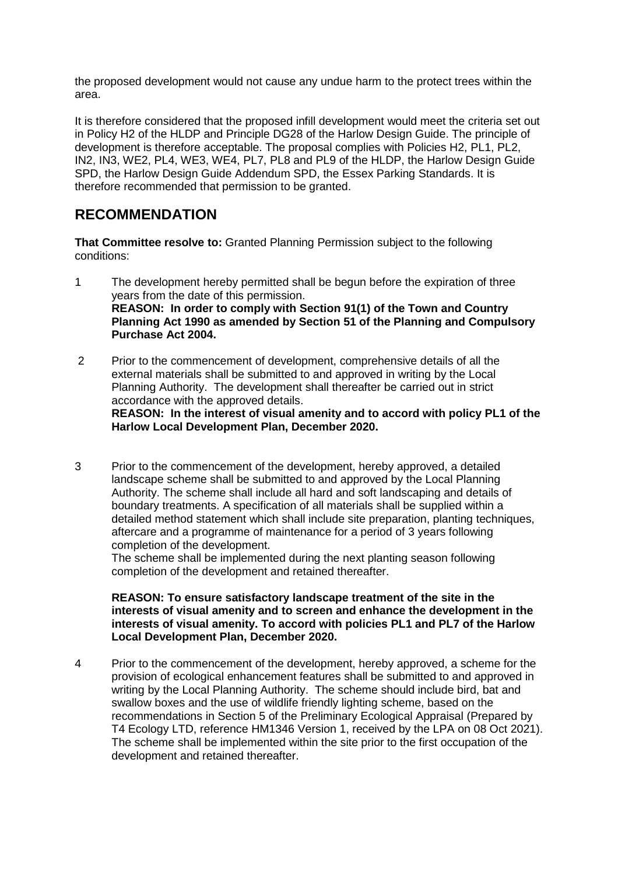the proposed development would not cause any undue harm to the protect trees within the area.

It is therefore considered that the proposed infill development would meet the criteria set out in Policy H2 of the HLDP and Principle DG28 of the Harlow Design Guide. The principle of development is therefore acceptable. The proposal complies with Policies H2, PL1, PL2, IN2, IN3, WE2, PL4, WE3, WE4, PL7, PL8 and PL9 of the HLDP, the Harlow Design Guide SPD, the Harlow Design Guide Addendum SPD, the Essex Parking Standards. It is therefore recommended that permission to be granted.

# **RECOMMENDATION**

**That Committee resolve to:** Granted Planning Permission subject to the following conditions:

- 1 The development hereby permitted shall be begun before the expiration of three years from the date of this permission. **REASON: In order to comply with Section 91(1) of the Town and Country Planning Act 1990 as amended by Section 51 of the Planning and Compulsory Purchase Act 2004.**
- 2 Prior to the commencement of development, comprehensive details of all the external materials shall be submitted to and approved in writing by the Local Planning Authority. The development shall thereafter be carried out in strict accordance with the approved details.

**REASON: In the interest of visual amenity and to accord with policy PL1 of the Harlow Local Development Plan, December 2020.**

3 Prior to the commencement of the development, hereby approved, a detailed landscape scheme shall be submitted to and approved by the Local Planning Authority. The scheme shall include all hard and soft landscaping and details of boundary treatments. A specification of all materials shall be supplied within a detailed method statement which shall include site preparation, planting techniques, aftercare and a programme of maintenance for a period of 3 years following completion of the development.

The scheme shall be implemented during the next planting season following completion of the development and retained thereafter.

**REASON: To ensure satisfactory landscape treatment of the site in the interests of visual amenity and to screen and enhance the development in the interests of visual amenity. To accord with policies PL1 and PL7 of the Harlow Local Development Plan, December 2020.**

4 Prior to the commencement of the development, hereby approved, a scheme for the provision of ecological enhancement features shall be submitted to and approved in writing by the Local Planning Authority. The scheme should include bird, bat and swallow boxes and the use of wildlife friendly lighting scheme, based on the recommendations in Section 5 of the Preliminary Ecological Appraisal (Prepared by T4 Ecology LTD, reference HM1346 Version 1, received by the LPA on 08 Oct 2021). The scheme shall be implemented within the site prior to the first occupation of the development and retained thereafter.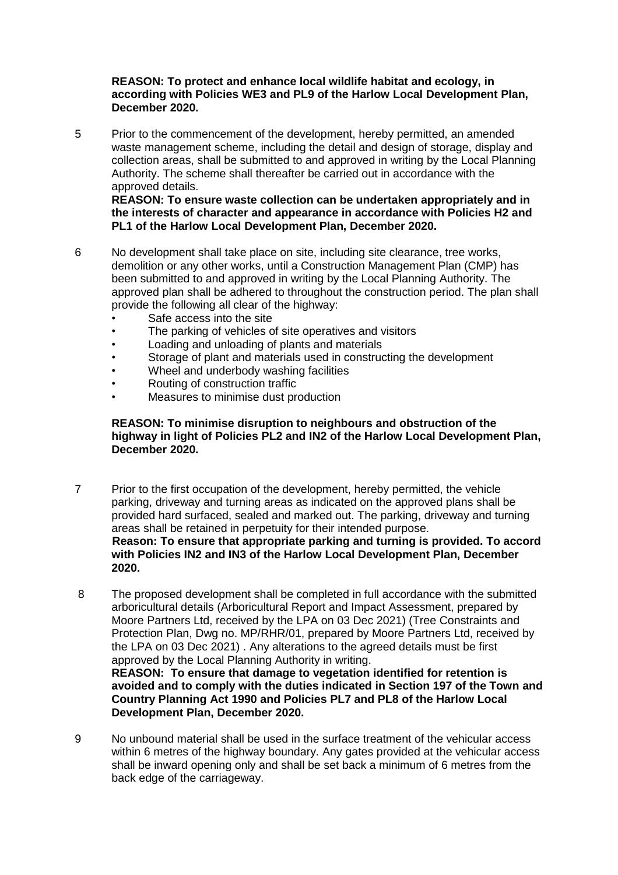#### **REASON: To protect and enhance local wildlife habitat and ecology, in according with Policies WE3 and PL9 of the Harlow Local Development Plan, December 2020.**

5 Prior to the commencement of the development, hereby permitted, an amended waste management scheme, including the detail and design of storage, display and collection areas, shall be submitted to and approved in writing by the Local Planning Authority. The scheme shall thereafter be carried out in accordance with the approved details.

**REASON: To ensure waste collection can be undertaken appropriately and in the interests of character and appearance in accordance with Policies H2 and PL1 of the Harlow Local Development Plan, December 2020.**

- 6 No development shall take place on site, including site clearance, tree works, demolition or any other works, until a Construction Management Plan (CMP) has been submitted to and approved in writing by the Local Planning Authority. The approved plan shall be adhered to throughout the construction period. The plan shall provide the following all clear of the highway:
	- Safe access into the site
	- The parking of vehicles of site operatives and visitors
	- Loading and unloading of plants and materials
	- Storage of plant and materials used in constructing the development
	- Wheel and underbody washing facilities
	- Routing of construction traffic
	- Measures to minimise dust production

#### **REASON: To minimise disruption to neighbours and obstruction of the highway in light of Policies PL2 and IN2 of the Harlow Local Development Plan, December 2020.**

- 7 Prior to the first occupation of the development, hereby permitted, the vehicle parking, driveway and turning areas as indicated on the approved plans shall be provided hard surfaced, sealed and marked out. The parking, driveway and turning areas shall be retained in perpetuity for their intended purpose. **Reason: To ensure that appropriate parking and turning is provided. To accord with Policies IN2 and IN3 of the Harlow Local Development Plan, December 2020.**
- 8 The proposed development shall be completed in full accordance with the submitted arboricultural details (Arboricultural Report and Impact Assessment, prepared by Moore Partners Ltd, received by the LPA on 03 Dec 2021) (Tree Constraints and Protection Plan, Dwg no. MP/RHR/01, prepared by Moore Partners Ltd, received by the LPA on 03 Dec 2021) . Any alterations to the agreed details must be first approved by the Local Planning Authority in writing. **REASON: To ensure that damage to vegetation identified for retention is avoided and to comply with the duties indicated in Section 197 of the Town and Country Planning Act 1990 and Policies PL7 and PL8 of the Harlow Local Development Plan, December 2020.**
- 9 No unbound material shall be used in the surface treatment of the vehicular access within 6 metres of the highway boundary. Any gates provided at the vehicular access shall be inward opening only and shall be set back a minimum of 6 metres from the back edge of the carriageway.